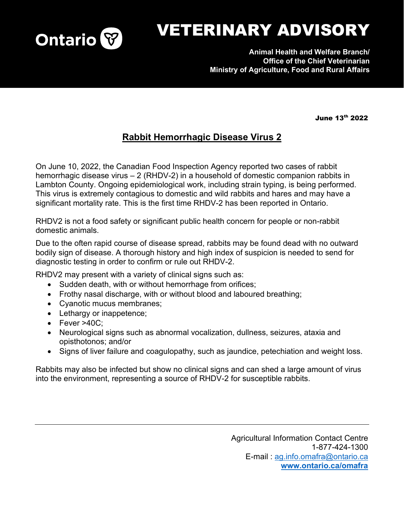

## VETERINARY ADVISORY

**Animal Health and Welfare Branch/ Office of the Chief Veterinarian Ministry of Agriculture, Food and Rural Affairs**

June 13th 2022

## **Rabbit Hemorrhagic Disease Virus 2**

On June 10, 2022, the Canadian Food Inspection Agency reported two cases of rabbit hemorrhagic disease virus – 2 (RHDV-2) in a household of domestic companion rabbits in Lambton County. Ongoing epidemiological work, including strain typing, is being performed. This virus is extremely contagious to domestic and wild rabbits and hares and may have a significant mortality rate. This is the first time RHDV-2 has been reported in Ontario.

RHDV2 is not a food safety or significant public health concern for people or non-rabbit domestic animals.

Due to the often rapid course of disease spread, rabbits may be found dead with no outward bodily sign of disease. A thorough history and high index of suspicion is needed to send for diagnostic testing in order to confirm or rule out RHDV-2.

RHDV2 may present with a variety of clinical signs such as:

- Sudden death, with or without hemorrhage from orifices;
- Frothy nasal discharge, with or without blood and laboured breathing;
- Cyanotic mucus membranes;
- Lethargy or inappetence;
- Fever >40C;
- Neurological signs such as abnormal vocalization, dullness, seizures, ataxia and opisthotonos; and/or
- Signs of liver failure and coagulopathy, such as jaundice, petechiation and weight loss.

Rabbits may also be infected but show no clinical signs and can shed a large amount of virus into the environment, representing a source of RHDV-2 for susceptible rabbits.

> Agricultural Information Contact Centre 1-877-424-1300 E-mail : [ag.info.omafra@ontario.ca](mailto:ag.info.omafra@ontario.ca) **[www.ontario.ca/omafra](http://www.ontario.ca/omafra)**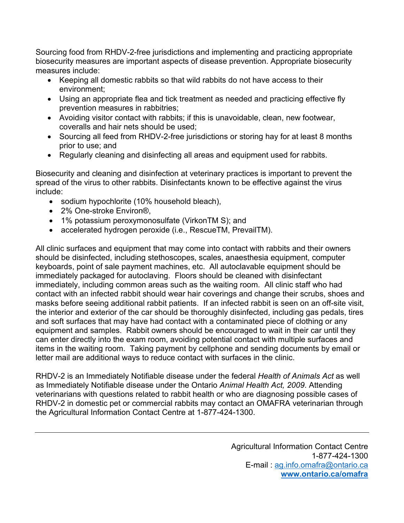Sourcing food from RHDV-2-free jurisdictions and implementing and practicing appropriate biosecurity measures are important aspects of disease prevention. Appropriate biosecurity measures include:

- Keeping all domestic rabbits so that wild rabbits do not have access to their environment;
- Using an appropriate flea and tick treatment as needed and practicing effective fly prevention measures in rabbitries;
- Avoiding visitor contact with rabbits; if this is unavoidable, clean, new footwear, coveralls and hair nets should be used;
- Sourcing all feed from RHDV-2-free jurisdictions or storing hay for at least 8 months prior to use; and
- Regularly cleaning and disinfecting all areas and equipment used for rabbits.

Biosecurity and cleaning and disinfection at veterinary practices is important to prevent the spread of the virus to other rabbits. Disinfectants known to be effective against the virus include:

- sodium hypochlorite (10% household bleach),
- 2% One-stroke Environ<sup>®</sup>.
- 1% potassium peroxymonosulfate (VirkonTM S); and
- accelerated hydrogen peroxide (i.e., RescueTM, PrevailTM).

All clinic surfaces and equipment that may come into contact with rabbits and their owners should be disinfected, including stethoscopes, scales, anaesthesia equipment, computer keyboards, point of sale payment machines, etc. All autoclavable equipment should be immediately packaged for autoclaving. Floors should be cleaned with disinfectant immediately, including common areas such as the waiting room. All clinic staff who had contact with an infected rabbit should wear hair coverings and change their scrubs, shoes and masks before seeing additional rabbit patients. If an infected rabbit is seen on an off-site visit, the interior and exterior of the car should be thoroughly disinfected, including gas pedals, tires and soft surfaces that may have had contact with a contaminated piece of clothing or any equipment and samples. Rabbit owners should be encouraged to wait in their car until they can enter directly into the exam room, avoiding potential contact with multiple surfaces and items in the waiting room. Taking payment by cellphone and sending documents by email or letter mail are additional ways to reduce contact with surfaces in the clinic.

RHDV-2 is an Immediately Notifiable disease under the federal *Health of Animals Act* as well as Immediately Notifiable disease under the Ontario *Animal Health Act, 2009*. Attending veterinarians with questions related to rabbit health or who are diagnosing possible cases of RHDV-2 in domestic pet or commercial rabbits may contact an OMAFRA veterinarian through the Agricultural Information Contact Centre at 1-877-424-1300.

> Agricultural Information Contact Centre 1-877-424-1300 E-mail : [ag.info.omafra@ontario.ca](mailto:ag.info.omafra@ontario.ca) **[www.ontario.ca/omafra](http://www.ontario.ca/omafra)**